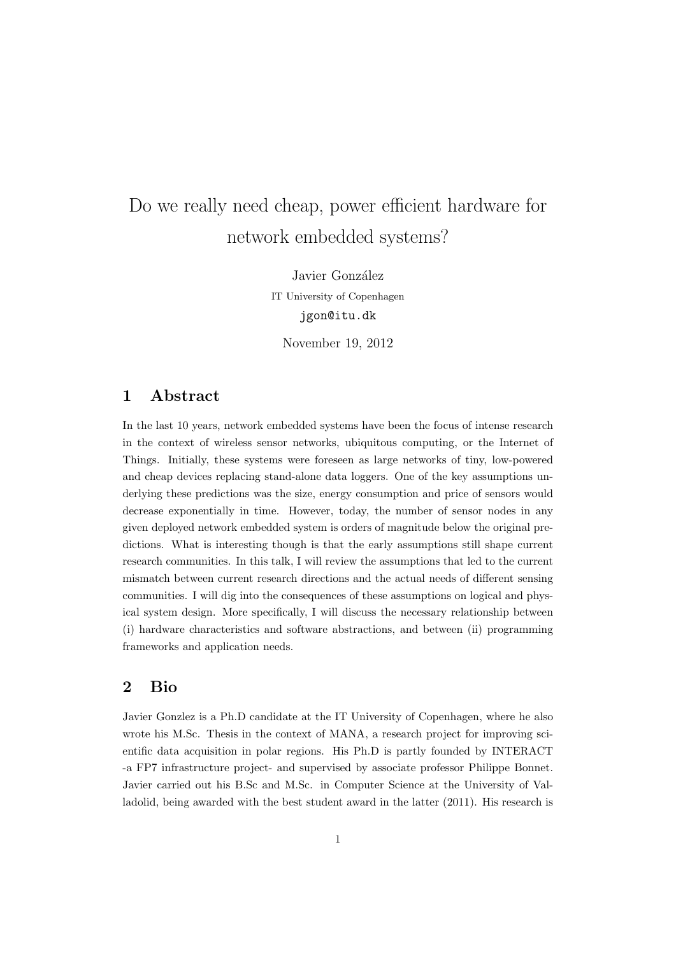## Do we really need cheap, power efficient hardware for network embedded systems?

Javier González IT University of Copenhagen jgon@itu.dk

November 19, 2012

## 1 Abstract

In the last 10 years, network embedded systems have been the focus of intense research in the context of wireless sensor networks, ubiquitous computing, or the Internet of Things. Initially, these systems were foreseen as large networks of tiny, low-powered and cheap devices replacing stand-alone data loggers. One of the key assumptions underlying these predictions was the size, energy consumption and price of sensors would decrease exponentially in time. However, today, the number of sensor nodes in any given deployed network embedded system is orders of magnitude below the original predictions. What is interesting though is that the early assumptions still shape current research communities. In this talk, I will review the assumptions that led to the current mismatch between current research directions and the actual needs of different sensing communities. I will dig into the consequences of these assumptions on logical and physical system design. More specifically, I will discuss the necessary relationship between (i) hardware characteristics and software abstractions, and between (ii) programming frameworks and application needs.

## 2 Bio

Javier Gonzlez is a Ph.D candidate at the IT University of Copenhagen, where he also wrote his M.Sc. Thesis in the context of MANA, a research project for improving scientific data acquisition in polar regions. His Ph.D is partly founded by INTERACT -a FP7 infrastructure project- and supervised by associate professor Philippe Bonnet. Javier carried out his B.Sc and M.Sc. in Computer Science at the University of Valladolid, being awarded with the best student award in the latter (2011). His research is